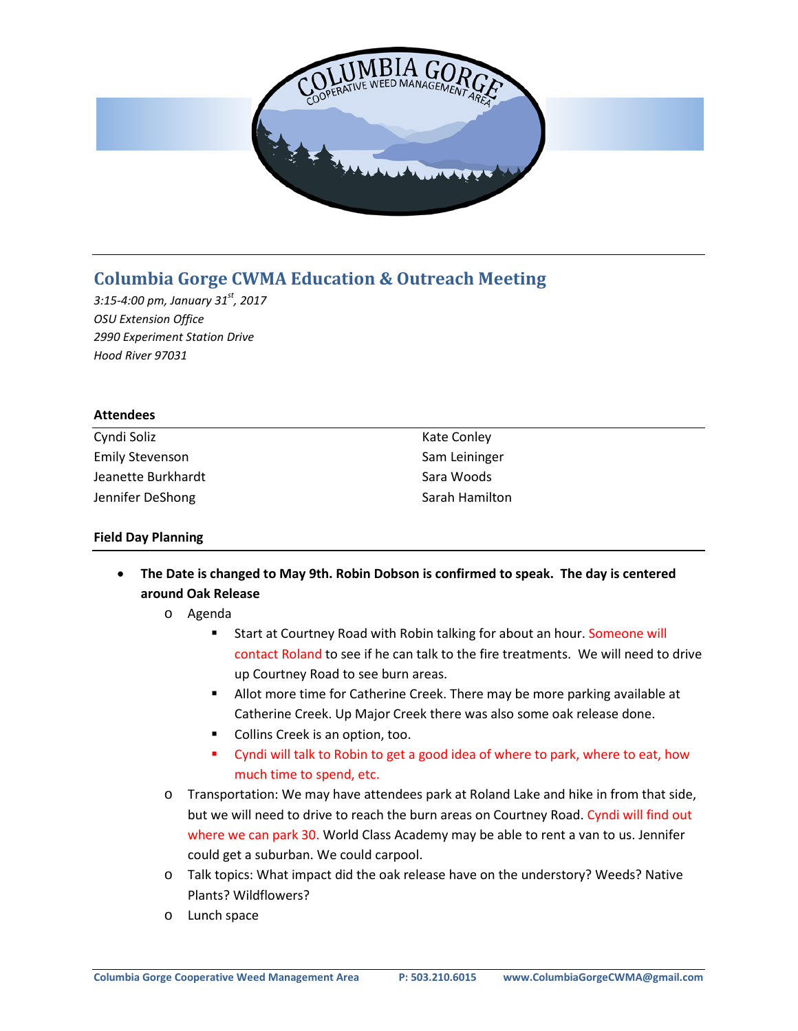

# **Columbia Gorge CWMA Education & Outreach Meeting**

*3:15-4:00 pm, January 31st, 2017 OSU Extension Office 2990 Experiment Station Drive Hood River 97031*

### **Attendees**

Cyndi Soliz Emily Stevenson Jeanette Burkhardt Jennifer DeShong

Kate Conley Sam Leininger Sara Woods Sarah Hamilton

## **Field Day Planning**

- **The Date is changed to May 9th. Robin Dobson is confirmed to speak. The day is centered around Oak Release**
	- o Agenda
		- **EXTER 15 ISS 20 IS Start at Courtney Road with Robin talking for about an hour. Someone will** contact Roland to see if he can talk to the fire treatments. We will need to drive up Courtney Road to see burn areas.
		- Allot more time for Catherine Creek. There may be more parking available at Catherine Creek. Up Major Creek there was also some oak release done.
		- Collins Creek is an option, too.
		- **•** Cyndi will talk to Robin to get a good idea of where to park, where to eat, how much time to spend, etc.
	- o Transportation: We may have attendees park at Roland Lake and hike in from that side, but we will need to drive to reach the burn areas on Courtney Road. Cyndi will find out where we can park 30. World Class Academy may be able to rent a van to us. Jennifer could get a suburban. We could carpool.
	- o Talk topics: What impact did the oak release have on the understory? Weeds? Native Plants? Wildflowers?
	- o Lunch space